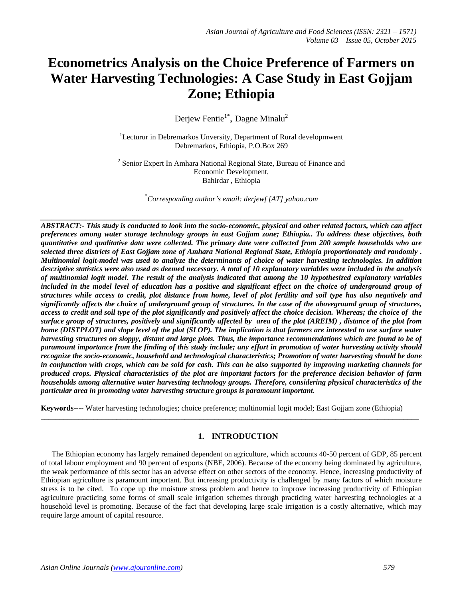# **Econometrics Analysis on the Choice Preference of Farmers on Water Harvesting Technologies: A Case Study in East Gojjam Zone; Ethiopia**

Derjew Fentie<sup>1\*</sup>, Dagne Minalu<sup>2</sup>

<sup>1</sup>Lecturur in Debremarkos Unversity, Department of Rural developmwent Debremarkos, Ethiopia, P.O.Box 269

<sup>2</sup> Senior Expert In Amhara National Regional State, Bureau of Finance and Economic Development, Bahirdar , Ethiopia

\**Corresponding author's email: derjewf [AT] yahoo.com*

*\_\_\_\_\_\_\_\_\_\_\_\_\_\_\_\_\_\_\_\_\_\_\_\_\_\_\_\_\_\_\_\_\_\_\_\_\_\_\_\_\_\_\_\_\_\_\_\_\_\_\_\_\_\_\_\_\_\_\_\_\_\_\_\_\_\_\_\_\_\_\_\_\_\_\_\_\_\_\_\_\_\_\_\_\_\_\_\_\_\_\_\_\_\_\_\_*

*ABSTRACT:- This study is conducted to look into the socio-economic, physical and other related factors, which can affect preferences among water storage technology groups in east Gojjam zone; Ethiopia.. To address these objectives, both quantitative and qualitative data were collected. The primary date were collected from 200 sample households who are selected three districts of East Gojjam zone of Amhara National Regional State, Ethiopia proportionately and randomly . Multinomial logit-model was used to analyze the determinants of choice of water harvesting technologies. In addition descriptive statistics were also used as deemed necessary. A total of 10 explanatory variables were included in the analysis of multinomial logit model. The result of the analysis indicated that among the 10 hypothesized explanatory variables included in the model level of education has a positive and significant effect on the choice of underground group of structures while access to credit, plot distance from home, level of plot fertility and soil type has also negatively and significantly affects the choice of underground group of structures. In the case of the aboveground group of structures, access to credit and soil type of the plot significantly and positively affect the choice decision. Whereas; the choice of the surface group of structures, positively and significantly affected by area of the plot (AREIM) , distance of the plot from home (DISTPLOT) and slope level of the plot (SLOP). The implication is that farmers are interested to use surface water harvesting structures on sloppy, distant and large plots. Thus, the importance recommendations which are found to be of paramount importance from the finding of this study include; any effort in promotion of water harvesting activity should recognize the socio-economic, household and technological characteristics; Promotion of water harvesting should be done in conjunction with crops, which can be sold for cash. This can be also supported by improving marketing channels for produced crops. Physical characteristics of the plot are important factors for the preference decision behavior of farm households among alternative water harvesting technology groups. Therefore, considering physical characteristics of the particular area in promoting water harvesting structure groups is paramount important.*

**Keywords----** Water harvesting technologies; choice preference; multinomial logit model; East Gojjam zone (Ethiopia)

 $\_$  , and the set of the set of the set of the set of the set of the set of the set of the set of the set of the set of the set of the set of the set of the set of the set of the set of the set of the set of the set of th

## **1. INTRODUCTION**

The Ethiopian economy has largely remained dependent on agriculture, which accounts 40-50 percent of GDP, 85 percent of total labour employment and 90 percent of exports (NBE, 2006). Because of the economy being dominated by agriculture, the weak performance of this sector has an adverse effect on other sectors of the economy. Hence, increasing productivity of Ethiopian agriculture is paramount important. But increasing productivity is challenged by many factors of which moisture stress is to be cited. To cope up the moisture stress problem and hence to improve increasing productivity of Ethiopian agriculture practicing some forms of small scale irrigation schemes through practicing water harvesting technologies at a household level is promoting. Because of the fact that developing large scale irrigation is a costly alternative, which may require large amount of capital resource.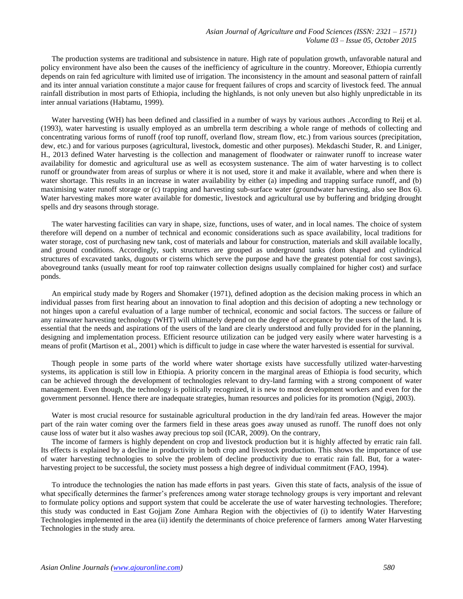The production systems are traditional and subsistence in nature. High rate of population growth, unfavorable natural and policy environment have also been the causes of the inefficiency of agriculture in the country. Moreover, Ethiopia currently depends on rain fed agriculture with limited use of irrigation. The inconsistency in the amount and seasonal pattern of rainfall and its inter annual variation constitute a major cause for frequent failures of crops and scarcity of livestock feed. The annual rainfall distribution in most parts of Ethiopia, including the highlands, is not only uneven but also highly unpredictable in its inter annual variations (Habtamu, 1999).

Water harvesting (WH) has been defined and classified in a number of ways by various authors .According to Reij et al. (1993), water harvesting is usually employed as an umbrella term describing a whole range of methods of collecting and concentrating various forms of runoff (roof top runoff, overland flow, stream flow, etc.) from various sources (precipitation, dew, etc.) and for various purposes (agricultural, livestock, domestic and other purposes). Mekdaschi Studer, R. and Liniger, H., 2013 defined Water harvesting is the collection and management of floodwater or rainwater runoff to increase water availability for domestic and agricultural use as well as ecosystem sustenance. The aim of water harvesting is to collect runoff or groundwater from areas of surplus or where it is not used, store it and make it available, where and when there is water shortage. This results in an increase in water availability by either (a) impeding and trapping surface runoff, and (b) maximising water runoff storage or (c) trapping and harvesting sub-surface water (groundwater harvesting, also see Box 6). Water harvesting makes more water available for domestic, livestock and agricultural use by buffering and bridging drought spells and dry seasons through storage.

The water harvesting facilities can vary in shape, size, functions, uses of water, and in local names. The choice of system therefore will depend on a number of technical and economic considerations such as space availability, local traditions for water storage, cost of purchasing new tank, cost of materials and labour for construction, materials and skill available locally, and ground conditions. Accordingly, such structures are grouped as underground tanks (dom shaped and cylindrical structures of excavated tanks, dugouts or cisterns which serve the purpose and have the greatest potential for cost savings), aboveground tanks (usually meant for roof top rainwater collection designs usually complained for higher cost) and surface ponds.

An empirical study made by Rogers and Shomaker (1971), defined adoption as the decision making process in which an individual passes from first hearing about an innovation to final adoption and this decision of adopting a new technology or not hinges upon a careful evaluation of a large number of technical, economic and social factors. The success or failure of any rainwater harvesting technology (WHT) will ultimately depend on the degree of acceptance by the users of the land. It is essential that the needs and aspirations of the users of the land are clearly understood and fully provided for in the planning, designing and implementation process. Efficient resource utilization can be judged very easily where water harvesting is a means of profit (Martison et al., 2001) which is difficult to judge in case where the water harvested is essential for survival.

Though people in some parts of the world where water shortage exists have successfully utilized water-harvesting systems, its application is still low in Ethiopia. A priority concern in the marginal areas of Ethiopia is food security, which can be achieved through the development of technologies relevant to dry-land farming with a strong component of water management. Even though, the technology is politically recognized, it is new to most development workers and even for the government personnel. Hence there are inadequate strategies, human resources and policies for its promotion (Ngigi, 2003).

Water is most crucial resource for sustainable agricultural production in the dry land/rain fed areas. However the major part of the rain water coming over the farmers field in these areas goes away unused as runoff. The runoff does not only cause loss of water but it also washes away precious top soil (ICAR, 2009). On the contrary,

The income of farmers is highly dependent on crop and livestock production but it is highly affected by erratic rain fall. Its effects is explained by a decline in productivity in both crop and livestock production. This shows the importance of use of water harvesting technologies to solve the problem of decline productivity due to erratic rain fall. But, for a waterharvesting project to be successful, the society must possess a high degree of individual commitment (FAO, 1994).

To introduce the technologies the nation has made efforts in past years. Given this state of facts, analysis of the issue of what specifically determines the farmer's preferences among water storage technology groups is very important and relevant to formulate policy options and support system that could be accelerate the use of water harvesting technologies. Therefore; this study was conducted in East Gojjam Zone Amhara Region with the objectivies of (i) to identify Water Harvesting Technologies implemented in the area (ii) identify the determinants of choice preference of farmers among Water Harvesting Technologies in the study area.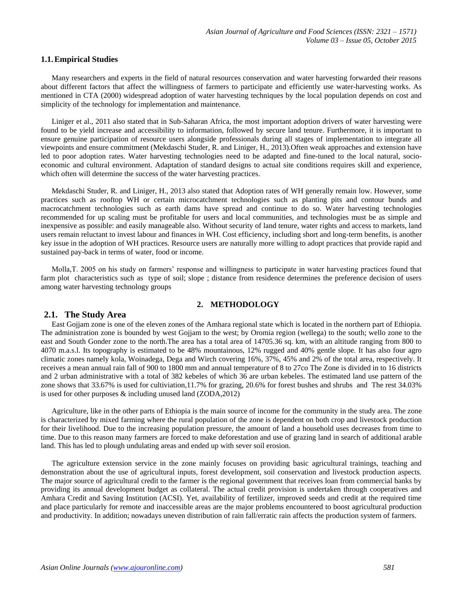#### **1.1.Empirical Studies**

Many researchers and experts in the field of natural resources conservation and water harvesting forwarded their reasons about different factors that affect the willingness of farmers to participate and efficiently use water-harvesting works. As mentioned in CTA (2000) widespread adoption of water harvesting techniques by the local population depends on cost and simplicity of the technology for implementation and maintenance.

Liniger et al., 2011 also stated that in Sub-Saharan Africa, the most important adoption drivers of water harvesting were found to be yield increase and accessibility to information, followed by secure land tenure. Furthermore, it is important to ensure genuine participation of resource users alongside professionals during all stages of implementation to integrate all viewpoints and ensure commitment (Mekdaschi Studer, R. and Liniger, H., 2013).Often weak approaches and extension have led to poor adoption rates. Water harvesting technologies need to be adapted and fine-tuned to the local natural, socioeconomic and cultural environment. Adaptation of standard designs to actual site conditions requires skill and experience, which often will determine the success of the water harvesting practices.

Mekdaschi Studer, R. and Liniger, H., 2013 also stated that Adoption rates of WH generally remain low. However, some practices such as rooftop WH or certain microcatchment technologies such as planting pits and contour bunds and macrocatchment technologies such as earth dams have spread and continue to do so. Water harvesting technologies recommended for up scaling must be profitable for users and local communities, and technologies must be as simple and inexpensive as possible: and easily manageable also. Without security of land tenure, water rights and access to markets, land users remain reluctant to invest labour and finances in WH. Cost efficiency, including short and long-term benefits, is another key issue in the adoption of WH practices. Resource users are naturally more willing to adopt practices that provide rapid and sustained pay-back in terms of water, food or income.

Molla,T. 2005 on his study on farmers' response and willingness to participate in water harvesting practices found that farm plot characteristics such as type of soil; slope ; distance from residence determines the preference decision of users among water harvesting technology groups

## **2. METHODOLOGY**

## **2.1. The Study Area**

East Gojjam zone is one of the eleven zones of the Amhara regional state which is located in the northern part of Ethiopia. The administration zone is bounded by west Gojjam to the west; by Oromia region (wellega) to the south; wello zone to the east and South Gonder zone to the north.The area has a total area of 14705.36 sq. km, with an altitude ranging from 800 to 4070 m.a.s.l. Its topography is estimated to be 48% mountainous, 12% rugged and 40% gentle slope. It has also four agro climatic zones namely kola, Woinadega, Dega and Wirch covering 16%, 37%, 45% and 2% of the total area, respectively. It receives a mean annual rain fall of 900 to 1800 mm and annual temperature of 8 to 27co The Zone is divided in to 16 districts and 2 urban administrative with a total of 382 kebeles of which 36 are urban kebeles. The estimated land use pattern of the zone shows that 33.67% is used for cultiviation,11.7% for grazing, 20.6% for forest bushes and shrubs and The rest 34.03% is used for other purposes & including unused land (ZODA,2012)

Agriculture, like in the other parts of Ethiopia is the main source of income for the community in the study area. The zone is characterized by mixed farming where the rural population of the zone is dependent on both crop and livestock production for their livelihood. Due to the increasing population pressure, the amount of land a household uses decreases from time to time. Due to this reason many farmers are forced to make deforestation and use of grazing land in search of additional arable land. This has led to plough undulating areas and ended up with sever soil erosion.

The agriculture extension service in the zone mainly focuses on providing basic agricultural trainings, teaching and demonstration about the use of agricultural inputs, forest development, soil conservation and livestock production aspects. The major source of agricultural credit to the farmer is the regional government that receives loan from commercial banks by providing its annual development budget as collateral. The actual credit provision is undertaken through cooperatives and Amhara Credit and Saving Institution (ACSI). Yet, availability of fertilizer, improved seeds and credit at the required time and place particularly for remote and inaccessible areas are the major problems encountered to boost agricultural production and productivity. In addition; nowadays uneven distribution of rain fall/erratic rain affects the production system of farmers.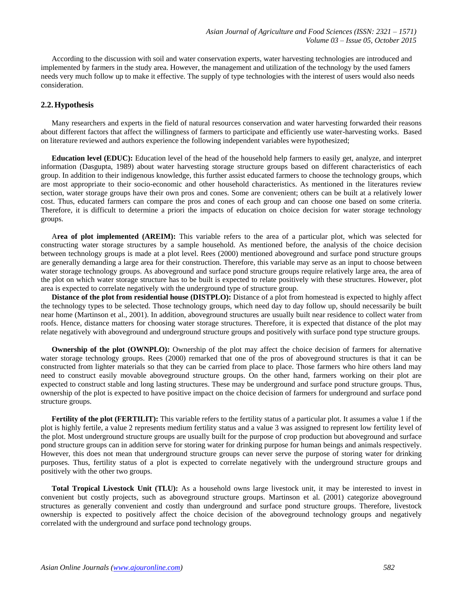According to the discussion with soil and water conservation experts, water harvesting technologies are introduced and implemented by farmers in the study area. However, the management and utilization of the technology by the used famers needs very much follow up to make it effective. The supply of type technologies with the interest of users would also needs consideration.

## **2.2.Hypothesis**

Many researchers and experts in the field of natural resources conservation and water harvesting forwarded their reasons about different factors that affect the willingness of farmers to participate and efficiently use water-harvesting works. Based on literature reviewed and authors experience the following independent variables were hypothesized;

**Education level (EDUC):** Education level of the head of the household help farmers to easily get, analyze, and interpret information (Dasgupta, 1989) about water harvesting storage structure groups based on different characteristics of each group. In addition to their indigenous knowledge, this further assist educated farmers to choose the technology groups, which are most appropriate to their socio-economic and other household characteristics. As mentioned in the literatures review section, water storage groups have their own pros and cones. Some are convenient; others can be built at a relatively lower cost. Thus, educated farmers can compare the pros and cones of each group and can choose one based on some criteria. Therefore, it is difficult to determine a priori the impacts of education on choice decision for water storage technology groups.

A**rea of plot implemented (AREIM):** This variable refers to the area of a particular plot, which was selected for constructing water storage structures by a sample household. As mentioned before, the analysis of the choice decision between technology groups is made at a plot level. Rees (2000) mentioned aboveground and surface pond structure groups are generally demanding a large area for their construction. Therefore, this variable may serve as an input to choose between water storage technology groups. As aboveground and surface pond structure groups require relatively large area, the area of the plot on which water storage structure has to be built is expected to relate positively with these structures. However, plot area is expected to correlate negatively with the underground type of structure group.

**Distance of the plot from residential house (DISTPLO):** Distance of a plot from homestead is expected to highly affect the technology types to be selected. Those technology groups, which need day to day follow up, should necessarily be built near home (Martinson et al., 2001). In addition, aboveground structures are usually built near residence to collect water from roofs. Hence, distance matters for choosing water storage structures. Therefore, it is expected that distance of the plot may relate negatively with aboveground and underground structure groups and positively with surface pond type structure groups.

**Ownership of the plot (OWNPLO):** Ownership of the plot may affect the choice decision of farmers for alternative water storage technology groups. Rees (2000) remarked that one of the pros of aboveground structures is that it can be constructed from lighter materials so that they can be carried from place to place. Those farmers who hire others land may need to construct easily movable aboveground structure groups. On the other hand, farmers working on their plot are expected to construct stable and long lasting structures. These may be underground and surface pond structure groups. Thus, ownership of the plot is expected to have positive impact on the choice decision of farmers for underground and surface pond structure groups.

**Fertility of the plot (FERTILIT):** This variable refers to the fertility status of a particular plot. It assumes a value 1 if the plot is highly fertile, a value 2 represents medium fertility status and a value 3 was assigned to represent low fertility level of the plot. Most underground structure groups are usually built for the purpose of crop production but aboveground and surface pond structure groups can in addition serve for storing water for drinking purpose for human beings and animals respectively. However, this does not mean that underground structure groups can never serve the purpose of storing water for drinking purposes. Thus, fertility status of a plot is expected to correlate negatively with the underground structure groups and positively with the other two groups.

**Total Tropical Livestock Unit (TLU):** As a household owns large livestock unit, it may be interested to invest in convenient but costly projects, such as aboveground structure groups. Martinson et al. (2001) categorize aboveground structures as generally convenient and costly than underground and surface pond structure groups. Therefore, livestock ownership is expected to positively affect the choice decision of the aboveground technology groups and negatively correlated with the underground and surface pond technology groups.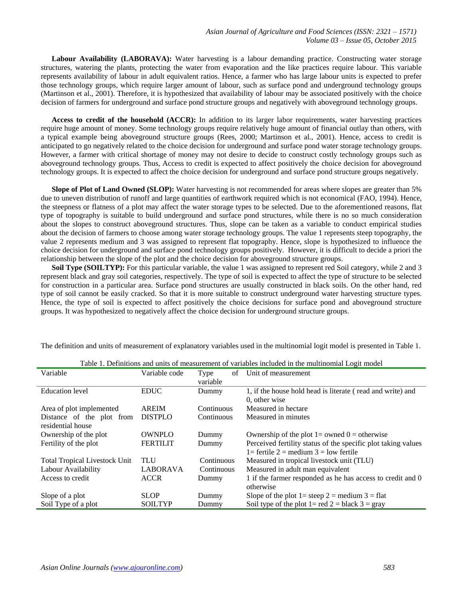**Labour Availability (LABORAVA):** Water harvesting is a labour demanding practice. Constructing water storage structures, watering the plants, protecting the water from evaporation and the like practices require labour. This variable represents availability of labour in adult equivalent ratios. Hence, a farmer who has large labour units is expected to prefer those technology groups, which require larger amount of labour, such as surface pond and underground technology groups (Martinson et al., 2001). Therefore, it is hypothesized that availability of labour may be associated positively with the choice decision of farmers for underground and surface pond structure groups and negatively with aboveground technology groups.

**Access to credit of the household (ACCR):** In addition to its larger labor requirements, water harvesting practices require huge amount of money. Some technology groups require relatively huge amount of financial outlay than others, with a typical example being aboveground structure groups (Rees, 2000; Martinson et al., 2001). Hence, access to credit is anticipated to go negatively related to the choice decision for underground and surface pond water storage technology groups. However, a farmer with critical shortage of money may not desire to decide to construct costly technology groups such as aboveground technology groups. Thus, Access to credit is expected to affect positively the choice decision for aboveground technology groups. It is expected to affect the choice decision for underground and surface pond structure groups negatively.

**Slope of Plot of Land Owned (SLOP):** Water harvesting is not recommended for areas where slopes are greater than 5% due to uneven distribution of runoff and large quantities of earthwork required which is not economical (FAO, 1994). Hence, the steepness or flatness of a plot may affect the water storage types to be selected. Due to the aforementioned reasons, flat type of topography is suitable to build underground and surface pond structures, while there is no so much consideration about the slopes to construct aboveground structures. Thus, slope can be taken as a variable to conduct empirical studies about the decision of farmers to choose among water storage technology groups. The value 1 represents steep topography, the value 2 represents medium and 3 was assigned to represent flat topography. Hence, slope is hypothesized to influence the choice decision for underground and surface pond technology groups positively. However, it is difficult to decide a priori the relationship between the slope of the plot and the choice decision for aboveground structure groups.

**Soil Type (SOILTYP):** For this particular variable, the value 1 was assigned to represent red Soil category, while 2 and 3 represent black and gray soil categories, respectively. The type of soil is expected to affect the type of structure to be selected for construction in a particular area. Surface pond structures are usually constructed in black soils. On the other hand, red type of soil cannot be easily cracked. So that it is more suitable to construct underground water harvesting structure types. Hence, the type of soil is expected to affect positively the choice decisions for surface pond and aboveground structure groups. It was hypothesized to negatively affect the choice decision for underground structure groups.

| Table 1. Definitions and units of measurement of variables included in the multinomial Logit model |                 |            |                                                               |  |
|----------------------------------------------------------------------------------------------------|-----------------|------------|---------------------------------------------------------------|--|
| Variable                                                                                           | Variable code   | Type<br>of | Unit of measurement                                           |  |
|                                                                                                    |                 | variable   |                                                               |  |
| <b>Education</b> level                                                                             | <b>EDUC</b>     | Dummy      | 1, if the house hold head is literate (read and write) and    |  |
|                                                                                                    |                 |            | 0. other wise                                                 |  |
| Area of plot implemented                                                                           | <b>AREIM</b>    | Continuous | Measured in hectare                                           |  |
| Distance of the plot from                                                                          | <b>DISTPLO</b>  | Continuous | Measured in minutes                                           |  |
| residential house                                                                                  |                 |            |                                                               |  |
| Ownership of the plot                                                                              | OWNPLO          | Dummy      | Ownership of the plot $1 =$ owned $0 =$ otherwise             |  |
| Fertility of the plot                                                                              | <b>FERTILIT</b> | Dummy      | Perceived fertility status of the specific plot taking values |  |
|                                                                                                    |                 |            | $1 =$ fertile 2 = medium 3 = low fertile                      |  |
| <b>Total Tropical Livestock Unit</b>                                                               | TLU             | Continuous | Measured in tropical livestock unit (TLU)                     |  |
| Labour Availability                                                                                | <b>LABORAVA</b> | Continuous | Measured in adult man equivalent                              |  |
| Access to credit                                                                                   | <b>ACCR</b>     | Dummy      | 1 if the farmer responded as he has access to credit and 0    |  |
|                                                                                                    |                 |            | otherwise                                                     |  |
| Slope of a plot                                                                                    | <b>SLOP</b>     | Dummy      | Slope of the plot $1 =$ steep $2 =$ medium $3 =$ flat         |  |
| Soil Type of a plot                                                                                | <b>SOILTYP</b>  | Dummy      | Soil type of the plot $1 = red$ 2 = black 3 = gray            |  |

The definition and units of measurement of explanatory variables used in the multinomial logit model is presented in Table 1.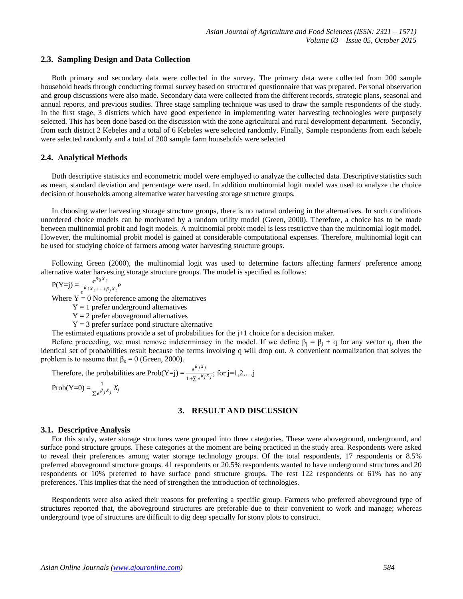#### **2.3. Sampling Design and Data Collection**

Both primary and secondary data were collected in the survey. The primary data were collected from 200 sample household heads through conducting formal survey based on structured questionnaire that was prepared. Personal observation and group discussions were also made. Secondary data were collected from the different records, strategic plans, seasonal and annual reports, and previous studies. Three stage sampling technique was used to draw the sample respondents of the study. In the first stage, 3 districts which have good experience in implementing water harvesting technologies were purposely selected. This has been done based on the discussion with the zone agricultural and rural development department. Secondly, from each district 2 Kebeles and a total of 6 Kebeles were selected randomly. Finally, Sample respondents from each kebele were selected randomly and a total of 200 sample farm households were selected

#### **2.4. Analytical Methods**

Both descriptive statistics and econometric model were employed to analyze the collected data. Descriptive statistics such as mean, standard deviation and percentage were used. In addition multinomial logit model was used to analyze the choice decision of households among alternative water harvesting storage structure groups.

In choosing water harvesting storage structure groups, there is no natural ordering in the alternatives. In such conditions unordered choice models can be motivated by a random utility model (Green, 2000). Therefore, a choice has to be made between multinomial probit and logit models. A multinomial probit model is less restrictive than the multinomial logit model. However, the multinomial probit model is gained at considerable computational expenses. Therefore, multinomial logit can be used for studying choice of farmers among water harvesting structure groups.

Following Green (2000), the multinomial logit was used to determine factors affecting farmers' preference among alternative water harvesting storage structure groups. The model is specified as follows:

$$
P(Y=j) = \frac{e^{\beta_0 X_i}}{e^{\beta_1 X_i + \dots + \beta_j X_i}} e
$$

Where  $Y = 0$  No preference among the alternatives

- $Y = 1$  prefer underground alternatives
- $Y = 2$  prefer aboveground alternatives
- $Y = 3$  prefer surface pond structure alternative

The estimated equations provide a set of probabilities for the  $j+1$  choice for a decision maker.

Before proceeding, we must remove indeterminacy in the model. If we define  $\beta_i = \beta_i + q$  for any vector q, then the identical set of probabilities result because the terms involving q will drop out. A convenient normalization that solves the problem is to assume that  $\beta_0 = 0$  (Green, 2000).

Therefore, the probabilities are Prob(Y=j) =  $\frac{e^{\beta_j X_j}}{1-\beta_j}$  $\frac{e^{-\beta}$ ,  $\frac{\beta}{\beta}$ ; for j=1,2,...j

$$
\text{Prob}(Y=0) = \frac{1}{\sum e^{\beta_j X_j}} X_j
$$

#### **3. RESULT AND DISCUSSION**

#### **3.1. Descriptive Analysis**

For this study, water storage structures were grouped into three categories. These were aboveground, underground, and surface pond structure groups. These categories at the moment are being practiced in the study area. Respondents were asked to reveal their preferences among water storage technology groups. Of the total respondents, 17 respondents or 8.5% preferred aboveground structure groups. 41 respondents or 20.5% respondents wanted to have underground structures and 20 respondents or 10% preferred to have surface pond structure groups. The rest 122 respondents or 61% has no any preferences. This implies that the need of strengthen the introduction of technologies.

Respondents were also asked their reasons for preferring a specific group. Farmers who preferred aboveground type of structures reported that, the aboveground structures are preferable due to their convenient to work and manage; whereas underground type of structures are difficult to dig deep specially for stony plots to construct.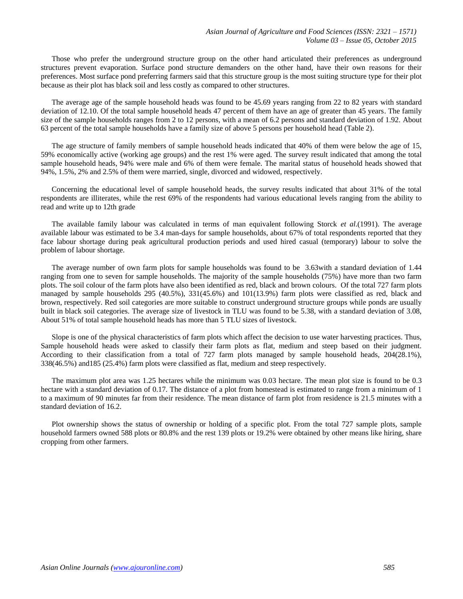Those who prefer the underground structure group on the other hand articulated their preferences as underground structures prevent evaporation. Surface pond structure demanders on the other hand, have their own reasons for their preferences. Most surface pond preferring farmers said that this structure group is the most suiting structure type for their plot because as their plot has black soil and less costly as compared to other structures.

The average age of the sample household heads was found to be 45.69 years ranging from 22 to 82 years with standard deviation of 12.10. Of the total sample household heads 47 percent of them have an age of greater than 45 years. The family size of the sample households ranges from 2 to 12 persons, with a mean of 6.2 persons and standard deviation of 1.92. About 63 percent of the total sample households have a family size of above 5 persons per household head (Table 2).

The age structure of family members of sample household heads indicated that 40% of them were below the age of 15, 59% economically active (working age groups) and the rest 1% were aged. The survey result indicated that among the total sample household heads, 94% were male and 6% of them were female. The marital status of household heads showed that 94%, 1.5%, 2% and 2.5% of them were married, single, divorced and widowed, respectively.

Concerning the educational level of sample household heads, the survey results indicated that about 31% of the total respondents are illiterates, while the rest 69% of the respondents had various educational levels ranging from the ability to read and write up to 12th grade

The available family labour was calculated in terms of man equivalent following Storck *et al*.(1991). The average available labour was estimated to be 3.4 man-days for sample households, about 67% of total respondents reported that they face labour shortage during peak agricultural production periods and used hired casual (temporary) labour to solve the problem of labour shortage.

The average number of own farm plots for sample households was found to be 3.63with a standard deviation of 1.44 ranging from one to seven for sample households. The majority of the sample households (75%) have more than two farm plots. The soil colour of the farm plots have also been identified as red, black and brown colours. Of the total 727 farm plots managed by sample households 295 (40.5%), 331(45.6%) and 101(13.9%) farm plots were classified as red, black and brown, respectively. Red soil categories are more suitable to construct underground structure groups while ponds are usually built in black soil categories. The average size of livestock in TLU was found to be 5.38, with a standard deviation of 3.08, About 51% of total sample household heads has more than 5 TLU sizes of livestock.

Slope is one of the physical characteristics of farm plots which affect the decision to use water harvesting practices. Thus, Sample household heads were asked to classify their farm plots as flat, medium and steep based on their judgment. According to their classification from a total of 727 farm plots managed by sample household heads, 204(28.1%), 338(46.5%) and185 (25.4%) farm plots were classified as flat, medium and steep respectively.

The maximum plot area was 1.25 hectares while the minimum was 0.03 hectare. The mean plot size is found to be 0.3 hectare with a standard deviation of 0.17. The distance of a plot from homestead is estimated to range from a minimum of 1 to a maximum of 90 minutes far from their residence. The mean distance of farm plot from residence is 21.5 minutes with a standard deviation of 16.2.

Plot ownership shows the status of ownership or holding of a specific plot. From the total 727 sample plots, sample household farmers owned 588 plots or 80.8% and the rest 139 plots or 19.2% were obtained by other means like hiring, share cropping from other farmers.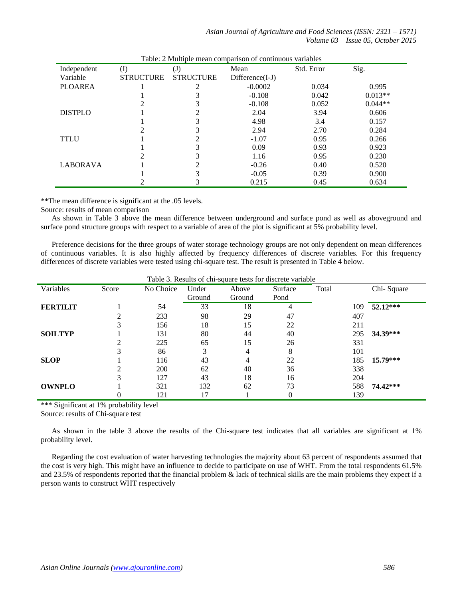*Asian Journal of Agriculture and Food Sciences (ISSN: 2321 – 1571) Volume 03 – Issue 05, October 2015*

| Independent     | (I)              | $\left( \mathrm{J}\right)$ | Mean              | Std. Error | Sig.      |
|-----------------|------------------|----------------------------|-------------------|------------|-----------|
| Variable        | <b>STRUCTURE</b> | <b>STRUCTURE</b>           | $Difference(I-J)$ |            |           |
| <b>PLOAREA</b>  |                  | ∍                          | $-0.0002$         | 0.034      | 0.995     |
|                 |                  |                            | $-0.108$          | 0.042      | $0.013**$ |
|                 |                  |                            | $-0.108$          | 0.052      | $0.044**$ |
| <b>DISTPLO</b>  |                  |                            | 2.04              | 3.94       | 0.606     |
|                 |                  | 3                          | 4.98              | 3.4        | 0.157     |
|                 |                  |                            | 2.94              | 2.70       | 0.284     |
| <b>TTLU</b>     |                  |                            | $-1.07$           | 0.95       | 0.266     |
|                 |                  |                            | 0.09              | 0.93       | 0.923     |
|                 |                  |                            | 1.16              | 0.95       | 0.230     |
| <b>LABORAVA</b> |                  |                            | $-0.26$           | 0.40       | 0.520     |
|                 |                  |                            | $-0.05$           | 0.39       | 0.900     |
|                 |                  | 3                          | 0.215             | 0.45       | 0.634     |

\*\*The mean difference is significant at the .05 levels.

Source: results of mean comparison

As shown in Table 3 above the mean difference between underground and surface pond as well as aboveground and surface pond structure groups with respect to a variable of area of the plot is significant at 5% probability level.

Preference decisions for the three groups of water storage technology groups are not only dependent on mean differences of continuous variables. It is also highly affected by frequency differences of discrete variables. For this frequency differences of discrete variables were tested using chi-square test. The result is presented in Table 4 below.

| Variables       | Score | No Choice | Under  | Tuble 5: Results of em square tests for discrete variable<br>Above | Surface | Total | Chi-Square |
|-----------------|-------|-----------|--------|--------------------------------------------------------------------|---------|-------|------------|
|                 |       |           | Ground | Ground                                                             | Pond    |       |            |
| <b>FERTILIT</b> |       | 54        | 33     | 18                                                                 | 4       | 109   | 52.12***   |
|                 |       | 233       | 98     | 29                                                                 | 47      | 407   |            |
|                 |       | 156       | 18     | 15                                                                 | 22      | 211   |            |
| <b>SOILTYP</b>  |       | 131       | 80     | 44                                                                 | 40      | 295   | 34.39***   |
|                 |       | 225       | 65     | 15                                                                 | 26      | 331   |            |
|                 |       | 86        | 3      | 4                                                                  | 8       | 101   |            |
| <b>SLOP</b>     |       | 116       | 43     | 4                                                                  | 22      | 185   | 15.79***   |
|                 |       | 200       | 62     | 40                                                                 | 36      | 338   |            |
|                 |       | 127       | 43     | 18                                                                 | 16      | 204   |            |
| <b>OWNPLO</b>   |       | 321       | 132    | 62                                                                 | 73      | 588   | 74.42***   |
|                 | 0     | 121       | 17     |                                                                    | 0       | 139   |            |

Table 3. Results of chi-square tests for discrete variable

\*\*\* Significant at 1% probability level

Source: results of Chi-square test

As shown in the table 3 above the results of the Chi-square test indicates that all variables are significant at 1% probability level.

Regarding the cost evaluation of water harvesting technologies the majority about 63 percent of respondents assumed that the cost is very high. This might have an influence to decide to participate on use of WHT. From the total respondents 61.5% and 23.5% of respondents reported that the financial problem & lack of technical skills are the main problems they expect if a person wants to construct WHT respectively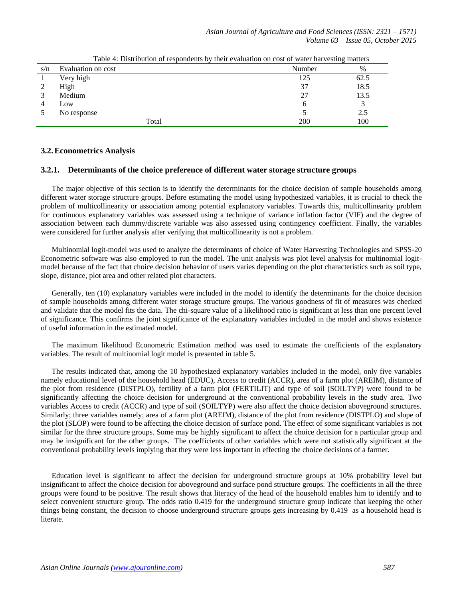| s/n | Evaluation on cost | Number | $\%$ |
|-----|--------------------|--------|------|
|     | Very high          | 125    | 62.5 |
| ∠   | High               | 37     | 18.5 |
|     | Medium             | 27     | 13.5 |
|     | Low                |        |      |
|     | No response        |        | 2.5  |
|     | Total              | 200    | 100  |

Table 4: Distribution of respondents by their evaluation on cost of water harvesting matters

## **3.2.Econometrics Analysis**

## **3.2.1. Determinants of the choice preference of different water storage structure groups**

The major objective of this section is to identify the determinants for the choice decision of sample households among different water storage structure groups. Before estimating the model using hypothesized variables, it is crucial to check the problem of multicollinearity or association among potential explanatory variables. Towards this, multicollinearity problem for continuous explanatory variables was assessed using a technique of variance inflation factor (VIF) and the degree of association between each dummy/discrete variable was also assessed using contingency coefficient. Finally, the variables were considered for further analysis after verifying that multicollinearity is not a problem.

Multinomial logit-model was used to analyze the determinants of choice of Water Harvesting Technologies and SPSS-20 Econometric software was also employed to run the model. The unit analysis was plot level analysis for multinomial logitmodel because of the fact that choice decision behavior of users varies depending on the plot characteristics such as soil type, slope, distance, plot area and other related plot characters.

Generally, ten (10) explanatory variables were included in the model to identify the determinants for the choice decision of sample households among different water storage structure groups. The various goodness of fit of measures was checked and validate that the model fits the data. The chi-square value of a likelihood ratio is significant at less than one percent level of significance. This confirms the joint significance of the explanatory variables included in the model and shows existence of useful information in the estimated model.

The maximum likelihood Econometric Estimation method was used to estimate the coefficients of the explanatory variables. The result of multinomial logit model is presented in table 5.

The results indicated that, among the 10 hypothesized explanatory variables included in the model, only five variables namely educational level of the household head (EDUC), Access to credit (ACCR), area of a farm plot (AREIM), distance of the plot from residence (DISTPLO), fertility of a farm plot (FERTILIT) and type of soil (SOILTYP) were found to be significantly affecting the choice decision for underground at the conventional probability levels in the study area. Two variables Access to credit (ACCR) and type of soil (SOILTYP) were also affect the choice decision aboveground structures. Similarly; three variables namely; area of a farm plot (AREIM), distance of the plot from residence (DISTPLO) and slope of the plot (SLOP) were found to be affecting the choice decision of surface pond. The effect of some significant variables is not similar for the three structure groups. Some may be highly significant to affect the choice decision for a particular group and may be insignificant for the other groups. The coefficients of other variables which were not statistically significant at the conventional probability levels implying that they were less important in effecting the choice decisions of a farmer.

Education level is significant to affect the decision for underground structure groups at 10% probability level but insignificant to affect the choice decision for aboveground and surface pond structure groups. The coefficients in all the three groups were found to be positive. The result shows that literacy of the head of the household enables him to identify and to select convenient structure group. The odds ratio 0.419 for the underground structure group indicate that keeping the other things being constant, the decision to choose underground structure groups gets increasing by 0.419 as a household head is literate.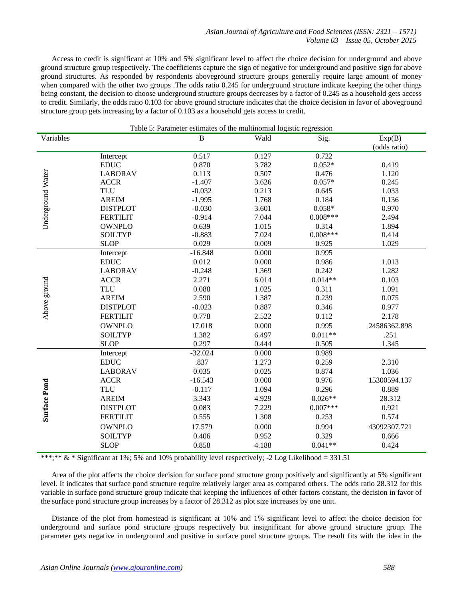Access to credit is significant at 10% and 5% significant level to affect the choice decision for underground and above ground structure group respectively. The coefficients capture the sign of negative for underground and positive sign for above ground structures. As responded by respondents aboveground structure groups generally require large amount of money when compared with the other two groups .The odds ratio 0.245 for underground structure indicate keeping the other things being constant, the decision to choose underground structure groups decreases by a factor of 0.245 as a household gets access to credit. Similarly, the odds ratio 0.103 for above ground structure indicates that the choice decision in favor of aboveground structure group gets increasing by a factor of 0.103 as a household gets access to credit.

| Table 5: Parameter estimates of the multinomial logistic regression |                 |              |       |            |              |  |
|---------------------------------------------------------------------|-----------------|--------------|-------|------------|--------------|--|
| Variables                                                           |                 | $\, {\bf B}$ | Wald  | Sig.       | Exp(B)       |  |
|                                                                     |                 |              |       |            | (odds ratio) |  |
|                                                                     | Intercept       | 0.517        | 0.127 | 0.722      |              |  |
|                                                                     | <b>EDUC</b>     | 0.870        | 3.782 | $0.052*$   | 0.419        |  |
|                                                                     | <b>LABORAV</b>  | 0.113        | 0.507 | 0.476      | 1.120        |  |
|                                                                     | <b>ACCR</b>     | $-1.407$     | 3.626 | $0.057*$   | 0.245        |  |
|                                                                     | <b>TLU</b>      | $-0.032$     | 0.213 | 0.645      | 1.033        |  |
|                                                                     | <b>AREIM</b>    | $-1.995$     | 1.768 | 0.184      | 0.136        |  |
| Underground Water                                                   | <b>DISTPLOT</b> | $-0.030$     | 3.601 | $0.058*$   | 0.970        |  |
|                                                                     | <b>FERTILIT</b> | $-0.914$     | 7.044 | $0.008***$ | 2.494        |  |
|                                                                     | <b>OWNPLO</b>   | 0.639        | 1.015 | 0.314      | 1.894        |  |
|                                                                     | <b>SOILTYP</b>  | $-0.883$     | 7.024 | $0.008***$ | 0.414        |  |
|                                                                     | <b>SLOP</b>     | 0.029        | 0.009 | 0.925      | 1.029        |  |
|                                                                     | Intercept       | $-16.848$    | 0.000 | 0.995      |              |  |
|                                                                     | <b>EDUC</b>     | 0.012        | 0.000 | 0.986      | 1.013        |  |
|                                                                     | <b>LABORAV</b>  | $-0.248$     | 1.369 | 0.242      | 1.282        |  |
|                                                                     | <b>ACCR</b>     | 2.271        | 6.014 | $0.014**$  | 0.103        |  |
| Above ground                                                        | <b>TLU</b>      | 0.088        | 1.025 | 0.311      | 1.091        |  |
|                                                                     | <b>AREIM</b>    | 2.590        | 1.387 | 0.239      | 0.075        |  |
|                                                                     | <b>DISTPLOT</b> | $-0.023$     | 0.887 | 0.346      | 0.977        |  |
|                                                                     | <b>FERTILIT</b> | 0.778        | 2.522 | 0.112      | 2.178        |  |
|                                                                     | <b>OWNPLO</b>   | 17.018       | 0.000 | 0.995      | 24586362.898 |  |
|                                                                     | <b>SOILTYP</b>  | 1.382        | 6.497 | $0.011**$  | .251         |  |
|                                                                     | <b>SLOP</b>     | 0.297        | 0.444 | 0.505      | 1.345        |  |
|                                                                     | Intercept       | $-32.024$    | 0.000 | 0.989      |              |  |
|                                                                     | <b>EDUC</b>     | .837         | 1.273 | 0.259      | 2.310        |  |
| <b>Surface Pond</b>                                                 | <b>LABORAV</b>  | 0.035        | 0.025 | 0.874      | 1.036        |  |
|                                                                     | <b>ACCR</b>     | $-16.543$    | 0.000 | 0.976      | 15300594.137 |  |
|                                                                     | <b>TLU</b>      | $-0.117$     | 1.094 | 0.296      | 0.889        |  |
|                                                                     | <b>AREIM</b>    | 3.343        | 4.929 | $0.026**$  | 28.312       |  |
|                                                                     | <b>DISTPLOT</b> | 0.083        | 7.229 | $0.007***$ | 0.921        |  |
|                                                                     | <b>FERTILIT</b> | 0.555        | 1.308 | 0.253      | 0.574        |  |
|                                                                     | <b>OWNPLO</b>   | 17.579       | 0.000 | 0.994      | 43092307.721 |  |
|                                                                     | <b>SOILTYP</b>  | 0.406        | 0.952 | 0.329      | 0.666        |  |
|                                                                     | <b>SLOP</b>     | 0.858        | 4.188 | $0.041**$  | 0.424        |  |
|                                                                     |                 |              |       |            |              |  |

\*\*\*;\*\*  $&$  \* Significant at 1%; 5% and 10% probability level respectively; -2 Log Likelihood = 331.51

Area of the plot affects the choice decision for surface pond structure group positively and significantly at 5% significant level. It indicates that surface pond structure require relatively larger area as compared others. The odds ratio 28.312 for this variable in surface pond structure group indicate that keeping the influences of other factors constant, the decision in favor of the surface pond structure group increases by a factor of 28.312 as plot size increases by one unit.

Distance of the plot from homestead is significant at 10% and 1% significant level to affect the choice decision for underground and surface pond structure groups respectively but insignificant for above ground structure group. The parameter gets negative in underground and positive in surface pond structure groups. The result fits with the idea in the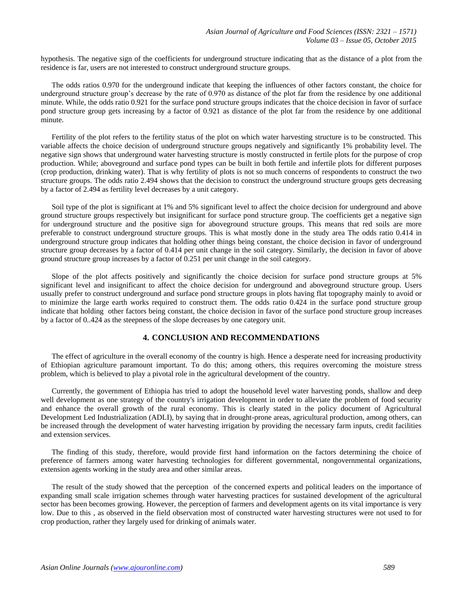hypothesis. The negative sign of the coefficients for underground structure indicating that as the distance of a plot from the residence is far, users are not interested to construct underground structure groups.

The odds ratios 0.970 for the underground indicate that keeping the influences of other factors constant, the choice for underground structure group's decrease by the rate of 0.970 as distance of the plot far from the residence by one additional minute. While, the odds ratio 0.921 for the surface pond structure groups indicates that the choice decision in favor of surface pond structure group gets increasing by a factor of 0.921 as distance of the plot far from the residence by one additional minute.

Fertility of the plot refers to the fertility status of the plot on which water harvesting structure is to be constructed. This variable affects the choice decision of underground structure groups negatively and significantly 1% probability level. The negative sign shows that underground water harvesting structure is mostly constructed in fertile plots for the purpose of crop production. While; aboveground and surface pond types can be built in both fertile and infertile plots for different purposes (crop production, drinking water). That is why fertility of plots is not so much concerns of respondents to construct the two structure groups. The odds ratio 2.494 shows that the decision to construct the underground structure groups gets decreasing by a factor of 2.494 as fertility level decreases by a unit category.

Soil type of the plot is significant at 1% and 5% significant level to affect the choice decision for underground and above ground structure groups respectively but insignificant for surface pond structure group. The coefficients get a negative sign for underground structure and the positive sign for aboveground structure groups. This means that red soils are more preferable to construct underground structure groups. This is what mostly done in the study area The odds ratio 0.414 in underground structure group indicates that holding other things being constant, the choice decision in favor of underground structure group decreases by a factor of 0.414 per unit change in the soil category. Similarly, the decision in favor of above ground structure group increases by a factor of 0.251 per unit change in the soil category.

Slope of the plot affects positively and significantly the choice decision for surface pond structure groups at 5% significant level and insignificant to affect the choice decision for underground and aboveground structure group. Users usually prefer to construct underground and surface pond structure groups in plots having flat topography mainly to avoid or to minimize the large earth works required to construct them. The odds ratio 0.424 in the surface pond structure group indicate that holding other factors being constant, the choice decision in favor of the surface pond structure group increases by a factor of 0..424 as the steepness of the slope decreases by one category unit.

## **4. CONCLUSION AND RECOMMENDATIONS**

The effect of agriculture in the overall economy of the country is high. Hence a desperate need for increasing productivity of Ethiopian agriculture paramount important. To do this; among others, this requires overcoming the moisture stress problem, which is believed to play a pivotal role in the agricultural development of the country.

Currently, the government of Ethiopia has tried to adopt the household level water harvesting ponds, shallow and deep well development as one strategy of the country's irrigation development in order to alleviate the problem of food security and enhance the overall growth of the rural economy. This is clearly stated in the policy document of Agricultural Development Led Industrialization (ADLI), by saying that in drought-prone areas, agricultural production, among others, can be increased through the development of water harvesting irrigation by providing the necessary farm inputs, credit facilities and extension services.

The finding of this study, therefore, would provide first hand information on the factors determining the choice of preference of farmers among water harvesting technologies for different governmental, nongovernmental organizations, extension agents working in the study area and other similar areas.

The result of the study showed that the perception of the concerned experts and political leaders on the importance of expanding small scale irrigation schemes through water harvesting practices for sustained development of the agricultural sector has been becomes growing. However, the perception of farmers and development agents on its vital importance is very low. Due to this , as observed in the field observation most of constructed water harvesting structures were not used to for crop production, rather they largely used for drinking of animals water.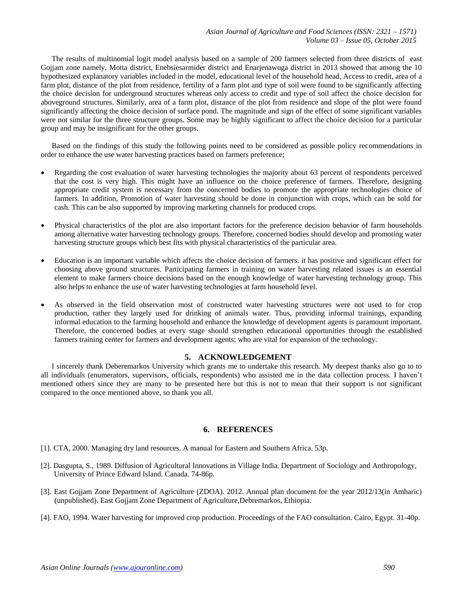The results of multinomial logit model analysis based on a sample of 200 farmers selected from three districts of east Gojjam zone namely, Motta district, Enebsiesarmider district and Enarjenawuga district in 2013 showed that among the 10 hypothesized explanatory variables included in the model, educational level of the household head, Access to credit, area of a farm plot, distance of the plot from residence, fertility of a farm plot and type of soil were found to be significantly affecting the choice decision for underground structures whereas only access to credit and type of soil affect the choice decision for aboveground structures. Similarly, area of a farm plot, distance of the plot from residence and slope of the plot were found significantly affecting the choice decision of surface pond. The magnitude and sign of the effect of some significant variables were not similar for the three structure groups. Some may be highly significant to affect the choice decision for a particular group and may be insignificant for the other groups.

Based on the findings of this study the following points need to be considered as possible policy recommendations in order to enhance the use water harvesting practices based on farmers preference;

- Regarding the cost evaluation of water harvesting technologies the majority about 63 percent of respondents perceived that the cost is very high. This might have an influence on the choice preference of farmers. Therefore, designing appropriate credit system is necessary from the concerned bodies to promote the appropriate technologies choice of farmers. In addition, Promotion of water harvesting should be done in conjunction with crops, which can be sold for cash. This can be also supported by improving marketing channels for produced crops.
- Physical characteristics of the plot are also important factors for the preference decision behavior of farm households among alternative water harvesting technology groups. Therefore, concerned bodies should develop and promoting water harvesting structure groups which best fits with physical characteristics of the particular area.
- Education is an important variable which affects the choice decision of farmers. it has positive and significant effect for choosing above ground structures. Participating farmers in training on water harvesting related issues is an essential element to make farmers choice decisions based on the enough knowledge of water harvesting technology group. This also helps to enhance the use of water harvesting technologies at farm household level.
- As observed in the field observation most of constructed water harvesting structures were not used to for crop production, rather they largely used for drinking of animals water. Thus, providing informal trainings, expanding informal education to the farming household and enhance the knowledge of development agents is paramount important. Therefore, the concerned bodies at every stage should strengthen educational opportunities through the established farmers training center for farmers and development agents; who are vital for expansion of the technology.

## **5. ACKNOWLEDGEMENT**

I sincerely thank Deberemarkos University which grants me to undertake this research. My deepest thanks also go to to all individuals (enumerators, supervisors, officials, respondents) who assisted me in the data collection process. I haven't mentioned others since they are many to be presented here but this is not to mean that their support is not significant compared to the once mentioned above, so thank you all.

## **6. REFERENCES**

- [1]. CTA, 2000. Managing dry land resources. A manual for Eastern and Southern Africa. 53p.
- [2]. Dasgupta, S., 1989. Diffusion of Agricultural Innovations in Village India. Department of Sociology and Anthropology, University of Prince Edward Island. Canada. 74-86p.
- [3]. East Gojjam Zone Department of Agriculture (ZDOA). 2012. Annual plan document for the year 2012/13(in Amharic) (unpublished). East Gojjam Zone Department of Agriculture,Debremarkos, Ethiopia.
- [4]. FAO, 1994. Water harvesting for improved crop production. Proceedings of the FAO consultation. Cairo, Egypt. 31-40p.